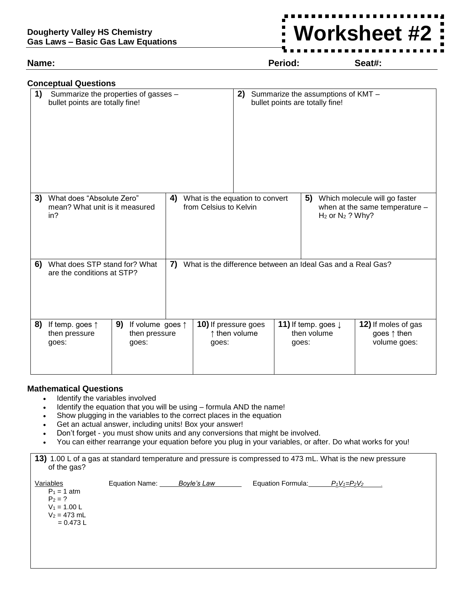### **Dougherty Valley HS Chemistry Gas Laws – Basic Gas Law Equations**

## **Name: Period: Seat#:**

**Worksheet #2**

|    | <b>Conceptual Questions</b>                                                                                                   |                                                           |                                                                                                                                   |                               |               |       |                                                                       |                                                             |
|----|-------------------------------------------------------------------------------------------------------------------------------|-----------------------------------------------------------|-----------------------------------------------------------------------------------------------------------------------------------|-------------------------------|---------------|-------|-----------------------------------------------------------------------|-------------------------------------------------------------|
| 1) | Summarize the properties of gasses -<br>bullet points are totally fine!                                                       |                                                           |                                                                                                                                   |                               | 2)            |       | Summarize the assumptions of KMT -<br>bullet points are totally fine! |                                                             |
| 3) | What does "Absolute Zero"<br>4)<br>from Celsius to Kelvin<br>mean? What unit is it measured<br>in?                            |                                                           | What is the equation to convert<br>5)<br>Which molecule will go faster<br>when at the same temperature -<br>$H_2$ or $N_2$ ? Why? |                               |               |       |                                                                       |                                                             |
| 6) | What does STP stand for? What<br>7) What is the difference between an Ideal Gas and a Real Gas?<br>are the conditions at STP? |                                                           |                                                                                                                                   |                               |               |       |                                                                       |                                                             |
| 8) | If temp. goes $\uparrow$<br>then pressure<br>goes:                                                                            | 9)<br>If volume goes $\uparrow$<br>then pressure<br>goes: |                                                                                                                                   | 10) If pressure goes<br>goes: | ↑ then volume | goes: | 11) If temp. goes $\downarrow$<br>then volume                         | 12) If moles of gas<br>goes $\uparrow$ then<br>volume goes: |

# **Mathematical Questions**

- Identify the variables involved
- Identify the equation that you will be using formula AND the name!
- Show plugging in the variables to the correct places in the equation
- Get an actual answer, including units! Box your answer!
- Don't forget you must show units and any conversions that might be involved.
- You can either rearrange your equation before you plug in your variables, or after. Do what works for you!

| 13) 1.00 L of a gas at standard temperature and pressure is compressed to 473 mL. What is the new pressure |
|------------------------------------------------------------------------------------------------------------|
| of the gas?                                                                                                |
|                                                                                                            |

| Variables      | Equation Name: | Boyle's Law | Equation Formula: | $P_1V_1 = P_2V_2$ |
|----------------|----------------|-------------|-------------------|-------------------|
| $P_1 = 1$ atm  |                |             |                   |                   |
| $P_2 = ?$      |                |             |                   |                   |
| $V_1 = 1.00 L$ |                |             |                   |                   |
| $V_2 = 473$ mL |                |             |                   |                   |
| $= 0.473 L$    |                |             |                   |                   |
|                |                |             |                   |                   |
|                |                |             |                   |                   |
|                |                |             |                   |                   |
|                |                |             |                   |                   |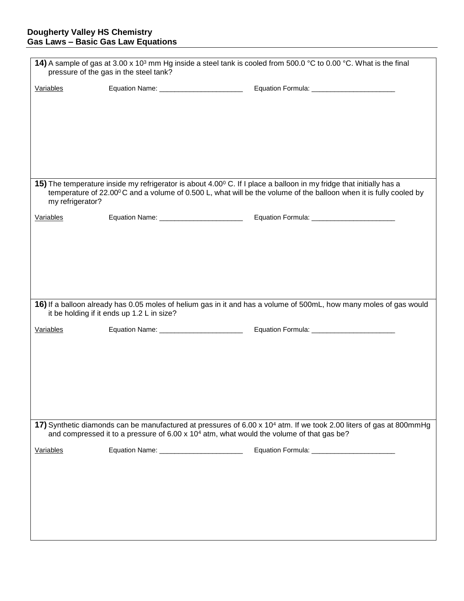### **Dougherty Valley HS Chemistry Gas Laws – Basic Gas Law Equations**

| 14) A sample of gas at 3.00 x 10 <sup>3</sup> mm Hg inside a steel tank is cooled from 500.0 °C to 0.00 °C. What is the final<br>pressure of the gas in the steel tank?                                                                 |                                             |                                                                                                                                                                                                                                          |  |  |
|-----------------------------------------------------------------------------------------------------------------------------------------------------------------------------------------------------------------------------------------|---------------------------------------------|------------------------------------------------------------------------------------------------------------------------------------------------------------------------------------------------------------------------------------------|--|--|
| Variables                                                                                                                                                                                                                               | Equation Name: __________________________   | Equation Formula: ___________________________                                                                                                                                                                                            |  |  |
|                                                                                                                                                                                                                                         |                                             |                                                                                                                                                                                                                                          |  |  |
|                                                                                                                                                                                                                                         |                                             |                                                                                                                                                                                                                                          |  |  |
|                                                                                                                                                                                                                                         |                                             |                                                                                                                                                                                                                                          |  |  |
|                                                                                                                                                                                                                                         |                                             |                                                                                                                                                                                                                                          |  |  |
|                                                                                                                                                                                                                                         |                                             |                                                                                                                                                                                                                                          |  |  |
|                                                                                                                                                                                                                                         |                                             |                                                                                                                                                                                                                                          |  |  |
| my refrigerator?                                                                                                                                                                                                                        |                                             | 15) The temperature inside my refrigerator is about 4.00° C. If I place a balloon in my fridge that initially has a<br>temperature of 22.00°C and a volume of 0.500 L, what will be the volume of the balloon when it is fully cooled by |  |  |
| Variables                                                                                                                                                                                                                               | Equation Name: ____________________________ | Equation Formula: ___________________________                                                                                                                                                                                            |  |  |
|                                                                                                                                                                                                                                         |                                             |                                                                                                                                                                                                                                          |  |  |
|                                                                                                                                                                                                                                         |                                             |                                                                                                                                                                                                                                          |  |  |
|                                                                                                                                                                                                                                         |                                             |                                                                                                                                                                                                                                          |  |  |
|                                                                                                                                                                                                                                         |                                             |                                                                                                                                                                                                                                          |  |  |
|                                                                                                                                                                                                                                         |                                             |                                                                                                                                                                                                                                          |  |  |
|                                                                                                                                                                                                                                         |                                             | 16) If a balloon already has 0.05 moles of helium gas in it and has a volume of 500mL, how many moles of gas would                                                                                                                       |  |  |
|                                                                                                                                                                                                                                         | it be holding if it ends up 1.2 L in size?  |                                                                                                                                                                                                                                          |  |  |
| Variables                                                                                                                                                                                                                               |                                             |                                                                                                                                                                                                                                          |  |  |
|                                                                                                                                                                                                                                         |                                             |                                                                                                                                                                                                                                          |  |  |
|                                                                                                                                                                                                                                         |                                             |                                                                                                                                                                                                                                          |  |  |
|                                                                                                                                                                                                                                         |                                             |                                                                                                                                                                                                                                          |  |  |
|                                                                                                                                                                                                                                         |                                             |                                                                                                                                                                                                                                          |  |  |
|                                                                                                                                                                                                                                         |                                             |                                                                                                                                                                                                                                          |  |  |
|                                                                                                                                                                                                                                         |                                             |                                                                                                                                                                                                                                          |  |  |
| 17) Synthetic diamonds can be manufactured at pressures of 6.00 x 10 <sup>4</sup> atm. If we took 2.00 liters of gas at 800mmHg<br>and compressed it to a pressure of 6.00 x 10 <sup>4</sup> atm, what would the volume of that gas be? |                                             |                                                                                                                                                                                                                                          |  |  |
| Variables                                                                                                                                                                                                                               | Equation Name: __________________________   | Equation Formula: ___________________________                                                                                                                                                                                            |  |  |
|                                                                                                                                                                                                                                         |                                             |                                                                                                                                                                                                                                          |  |  |
|                                                                                                                                                                                                                                         |                                             |                                                                                                                                                                                                                                          |  |  |
|                                                                                                                                                                                                                                         |                                             |                                                                                                                                                                                                                                          |  |  |
|                                                                                                                                                                                                                                         |                                             |                                                                                                                                                                                                                                          |  |  |
|                                                                                                                                                                                                                                         |                                             |                                                                                                                                                                                                                                          |  |  |
|                                                                                                                                                                                                                                         |                                             |                                                                                                                                                                                                                                          |  |  |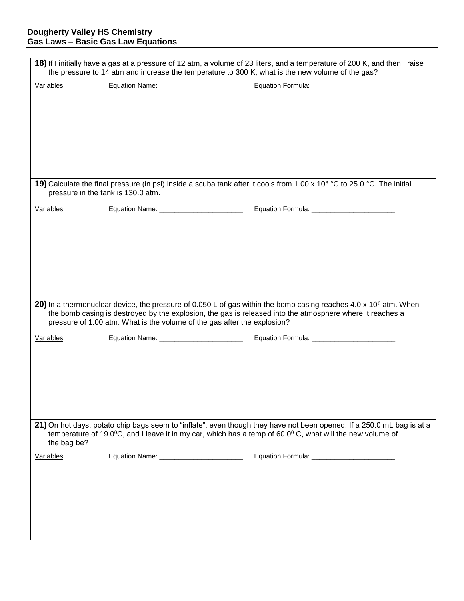### **Dougherty Valley HS Chemistry Gas Laws – Basic Gas Law Equations**

| 18) If I initially have a gas at a pressure of 12 atm, a volume of 23 liters, and a temperature of 200 K, and then I raise<br>the pressure to 14 atm and increase the temperature to 300 K, what is the new volume of the gas? |                                                                          |                                                                                                                                                                                                                                                         |  |
|--------------------------------------------------------------------------------------------------------------------------------------------------------------------------------------------------------------------------------|--------------------------------------------------------------------------|---------------------------------------------------------------------------------------------------------------------------------------------------------------------------------------------------------------------------------------------------------|--|
| Variables                                                                                                                                                                                                                      |                                                                          |                                                                                                                                                                                                                                                         |  |
|                                                                                                                                                                                                                                |                                                                          |                                                                                                                                                                                                                                                         |  |
|                                                                                                                                                                                                                                |                                                                          |                                                                                                                                                                                                                                                         |  |
|                                                                                                                                                                                                                                |                                                                          |                                                                                                                                                                                                                                                         |  |
|                                                                                                                                                                                                                                |                                                                          |                                                                                                                                                                                                                                                         |  |
|                                                                                                                                                                                                                                |                                                                          |                                                                                                                                                                                                                                                         |  |
|                                                                                                                                                                                                                                |                                                                          |                                                                                                                                                                                                                                                         |  |
| pressure in the tank is 130.0 atm.                                                                                                                                                                                             |                                                                          | 19) Calculate the final pressure (in psi) inside a scuba tank after it cools from 1.00 x 10 <sup>3</sup> °C to 25.0 °C. The initial                                                                                                                     |  |
| Variables                                                                                                                                                                                                                      | Equation Name: __________________________                                |                                                                                                                                                                                                                                                         |  |
|                                                                                                                                                                                                                                |                                                                          |                                                                                                                                                                                                                                                         |  |
|                                                                                                                                                                                                                                |                                                                          |                                                                                                                                                                                                                                                         |  |
|                                                                                                                                                                                                                                |                                                                          |                                                                                                                                                                                                                                                         |  |
|                                                                                                                                                                                                                                |                                                                          |                                                                                                                                                                                                                                                         |  |
|                                                                                                                                                                                                                                |                                                                          |                                                                                                                                                                                                                                                         |  |
|                                                                                                                                                                                                                                |                                                                          |                                                                                                                                                                                                                                                         |  |
|                                                                                                                                                                                                                                | pressure of 1.00 atm. What is the volume of the gas after the explosion? | 20) In a thermonuclear device, the pressure of 0.050 L of gas within the bomb casing reaches 4.0 x 10 <sup>6</sup> atm. When<br>the bomb casing is destroyed by the explosion, the gas is released into the atmosphere where it reaches a               |  |
| Variables                                                                                                                                                                                                                      |                                                                          |                                                                                                                                                                                                                                                         |  |
|                                                                                                                                                                                                                                |                                                                          |                                                                                                                                                                                                                                                         |  |
|                                                                                                                                                                                                                                |                                                                          |                                                                                                                                                                                                                                                         |  |
|                                                                                                                                                                                                                                |                                                                          |                                                                                                                                                                                                                                                         |  |
|                                                                                                                                                                                                                                |                                                                          |                                                                                                                                                                                                                                                         |  |
|                                                                                                                                                                                                                                |                                                                          |                                                                                                                                                                                                                                                         |  |
|                                                                                                                                                                                                                                |                                                                          |                                                                                                                                                                                                                                                         |  |
| the bag be?                                                                                                                                                                                                                    |                                                                          | 21) On hot days, potato chip bags seem to "inflate", even though they have not been opened. If a 250.0 mL bag is at a<br>temperature of 19.0 $^{\circ}$ C, and I leave it in my car, which has a temp of 60.0 $^{\circ}$ C, what will the new volume of |  |
| Variables                                                                                                                                                                                                                      | Equation Name: ___________________________                               | Equation Formula: __________________________                                                                                                                                                                                                            |  |
|                                                                                                                                                                                                                                |                                                                          |                                                                                                                                                                                                                                                         |  |
|                                                                                                                                                                                                                                |                                                                          |                                                                                                                                                                                                                                                         |  |
|                                                                                                                                                                                                                                |                                                                          |                                                                                                                                                                                                                                                         |  |
|                                                                                                                                                                                                                                |                                                                          |                                                                                                                                                                                                                                                         |  |
|                                                                                                                                                                                                                                |                                                                          |                                                                                                                                                                                                                                                         |  |
|                                                                                                                                                                                                                                |                                                                          |                                                                                                                                                                                                                                                         |  |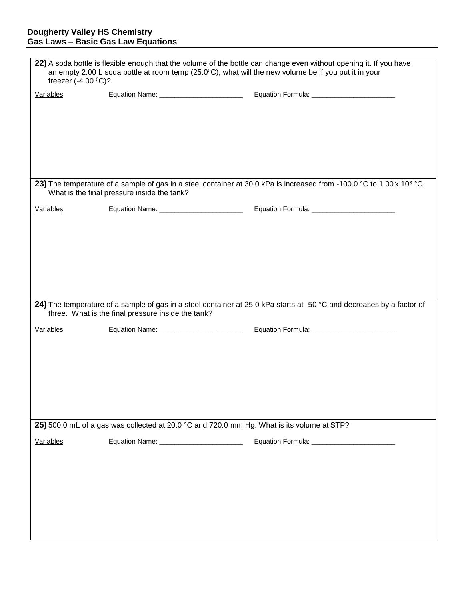| 22) A soda bottle is flexible enough that the volume of the bottle can change even without opening it. If you have<br>an empty 2.00 L soda bottle at room temp ( $25.0$ °C), what will the new volume be if you put it in your<br>freezer $(-4.00 °C)?$ |                                                    |                                                                                                                                   |  |  |
|---------------------------------------------------------------------------------------------------------------------------------------------------------------------------------------------------------------------------------------------------------|----------------------------------------------------|-----------------------------------------------------------------------------------------------------------------------------------|--|--|
| Variables                                                                                                                                                                                                                                               |                                                    |                                                                                                                                   |  |  |
|                                                                                                                                                                                                                                                         | What is the final pressure inside the tank?        | 23) The temperature of a sample of gas in a steel container at 30.0 kPa is increased from -100.0 °C to 1.00 x 10 <sup>3</sup> °C. |  |  |
| Variables                                                                                                                                                                                                                                               | Equation Name: __________________________          | Equation Formula: __________________________                                                                                      |  |  |
|                                                                                                                                                                                                                                                         | three. What is the final pressure inside the tank? | 24) The temperature of a sample of gas in a steel container at 25.0 kPa starts at -50 °C and decreases by a factor of             |  |  |
| Variables                                                                                                                                                                                                                                               | Equation Name: __________________________          |                                                                                                                                   |  |  |
| 25) 500.0 mL of a gas was collected at 20.0 °C and 720.0 mm Hg. What is its volume at STP?                                                                                                                                                              |                                                    |                                                                                                                                   |  |  |
| Variables                                                                                                                                                                                                                                               | Equation Name: _________________________           | Equation Formula: ________________________                                                                                        |  |  |